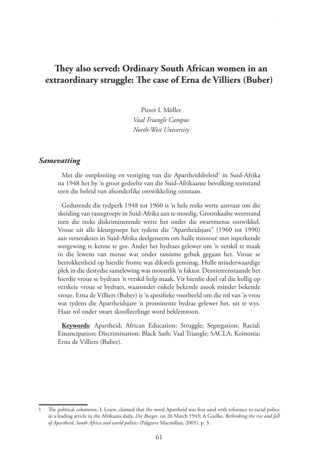# **They also served: Ordinary South African women in an extraordinary struggle: The case of Erna de Villiers (Buber)**

Pieter L Möller *Vaal Triangle Campus North-West University*

#### *Samevatting*

Met die ontplooiing en vestiging van die Apartheidsbeleid<sup>1</sup> in Suid-Afrika na 1948 het by 'n groot gedeelte van die Suid-Afrikaanse bevolking teenstand teen die beleid van afsonderlike ontwikkeling ontstaan.

Gedurende die tydperk 1948 tot 1960 is 'n hele reeks wette aanvaar om die skeiding van rassegroepe in Suid-Afrika aan te moedig. Grootskaalse weerstand teen die reeks diskriminerende wette het onder die swartmense ontwikkel. Vroue uit alle kleurgroepe het tydens die "Apartheidsjare" (1960 tot 1990) aan versetaksies in Suid-Afrika deelgeneem om hulle misnoeë met inperkende wetgewing te kenne te gee. Ander het bydraes gelewer om 'n verskil te maak in die lewens van mense wat onder rassisme gebuk gegaan het. Vroue se betrokkenheid op hierdie fronte was dikwels geminag. Hulle minderwaardige plek in die destydse samelewing was moontlik 'n faktor. Desnieteenstaande het hierdie vroue se bydraes 'n verskil help maak. Vir hierdie doel val die kollig op verskeie vroue se bydraes, waaronder enkele bekende asook minder bekende vroue. Erna de Villiers (Buber) is 'n spesifieke voorbeeld om die rol van 'n vrou wat tydens die Apartheidsjare 'n prominente bydrae gelewer het, uit te wys. Haar rol onder swart skoolleerlinge word beklemtoon.

**Keywords**: Apartheid; African Education; Struggle; Segregation; Racial; Emancipation; Discrimination; Black Sash; Vaal Triangle; SACLA; Koinonia; Erna de Villiers (Buber).

The political columnist, L Louw, claimed that the word Apartheid was first used with reference to racial policy in a leading article in the Afrikaans daily, *Die Burger*, on 26 March 1943; A Guelke, *Rethinking the rise and fall of Apartheid*, *South Africa and world politics* (Palgrave Macmillan, 2005), p. 3.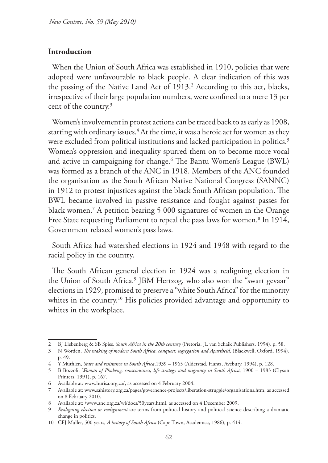### **Introduction**

When the Union of South Africa was established in 1910, policies that were adopted were unfavourable to black people. A clear indication of this was the passing of the Native Land Act of 1913.<sup>2</sup> According to this act, blacks, irrespective of their large population numbers, were confined to a mere 13 per cent of the country.<sup>3</sup>

Women's involvement in protest actions can be traced back to as early as 1908, starting with ordinary issues.4 At the time, it was a heroic act for women as they were excluded from political institutions and lacked participation in politics.<sup>5</sup> Women's oppression and inequality spurred them on to become more vocal and active in campaigning for change.6 The Bantu Women's League (BWL) was formed as a branch of the ANC in 1918. Members of the ANC founded the organisation as the South African Native National Congress (SANNC) in 1912 to protest injustices against the black South African population. The BWL became involved in passive resistance and fought against passes for black women.7 A petition bearing 5 000 signatures of women in the Orange Free State requesting Parliament to repeal the pass laws for women.<sup>8</sup> In 1914, Government relaxed women's pass laws.

South Africa had watershed elections in 1924 and 1948 with regard to the racial policy in the country.

The South African general election in 1924 was a realigning election in the Union of South Africa.<sup>9</sup> JBM Hertzog, who also won the "swart gevaar" elections in 1929, promised to preserve a "white South Africa" for the minority whites in the country.<sup>10</sup> His policies provided advantage and opportunity to whites in the workplace.

<sup>2</sup> BJ Liebenberg & SB Spies, *South Africa in the 20th century* (Pretoria, JL van Schaik Publishers, 1994), p. 58.

<sup>3</sup> N Worden, *The making of modern South Africa, conquest, segregation and Apartheid*, (Blackwell, Oxford, 1994), p. 49.

<sup>4</sup> Y Muthien, *State and resistance in South Africa*,1939 – 1965 (Alderstad, Hants, Avebury, 1994), p. 128.

<sup>5</sup> B Bozzoli, *Woman of Phokeng, consciousness, life strategy and migrancy in South Africa*, 1900 – 1983 (Clyson Printers, 1991), p. 167.

<sup>6</sup> Available at: www.hurisa.org.za/, as accessed on 4 February 2004.

<sup>7</sup> Available at: www.sahistory.org.za/pages/governence-projects/liberation-struggle/organisations.htm, as accessed on 8 February 2010.

<sup>8</sup> Available at: /www.anc.org.za/wl/docs/50years.html, as accessed on 4 December 2009.

<sup>9</sup> *Realigning election or realignment* are terms from political history and political science describing a dramatic change in politics.

<sup>10</sup> CFJ Muller, 500 years, *A history of South Africa* (Cape Town, Academica, 1986), p. 414.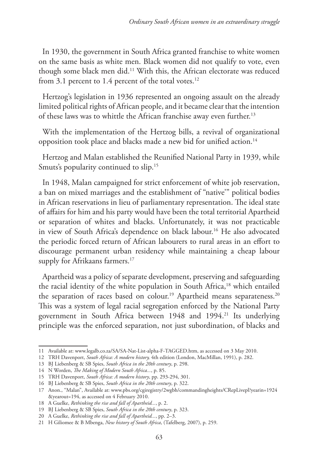In 1930, the government in South Africa granted franchise to white women on the same basis as white men. Black women did not qualify to vote, even though some black men did.11 With this, the African electorate was reduced from 3.1 percent to 1.4 percent of the total votes.<sup>12</sup>

Hertzog's legislation in 1936 represented an ongoing assault on the already limited political rights of African people, and it became clear that the intention of these laws was to whittle the African franchise away even further.<sup>13</sup>

With the implementation of the Hertzog bills, a revival of organizational opposition took place and blacks made a new bid for unified action.<sup>14</sup>

Hertzog and Malan established the Reunified National Party in 1939, while Smuts's popularity continued to slip.<sup>15</sup>

In 1948, Malan campaigned for strict enforcement of white job reservation, a ban on mixed marriages and the establishment of "native'" political bodies in African reservations in lieu of parliamentary representation. The ideal state of affairs for him and his party would have been the total territorial Apartheid or separation of whites and blacks. Unfortunately, it was not practicable in view of South Africa's dependence on black labour.<sup>16</sup> He also advocated the periodic forced return of African labourers to rural areas in an effort to discourage permanent urban residency while maintaining a cheap labour supply for Afrikaans farmers.<sup>17</sup>

Apartheid was a policy of separate development, preserving and safeguarding the racial identity of the white population in South Africa,<sup>18</sup> which entailed the separation of races based on colour.<sup>19</sup> Apartheid means separateness.<sup>20</sup> This was a system of legal racial segregation enforced by the National Party government in South Africa between 1948 and 1994.21 Its underlying principle was the enforced separation, not just subordination, of blacks and

<sup>11</sup> Available at: www.legalb.co.za/SA/SA-Nat-List-alpha-F-TAGGED.htm, as accessed on 3 May 2010.

<sup>12</sup> TRH Davenport, *South Africa: A modern history,* 4th edition (London, MacMillan, 1991), p. 282.

<sup>13</sup> BJ Liebenberg & SB Spies, *South Africa in the 20th century*, p. 298.

<sup>14</sup> N Worden, *The Making of Modern South Africa...*, p. 85.

<sup>15</sup> TRH Davenport, *South Africa: A modern history*, pp. 293-294, 301.

<sup>16</sup> BJ Liebenberg & SB Spies, *South Africa in the 20th century*, p. 322.

<sup>17</sup> Anon., "Malan", Available at: www.pbs.org/cgiregistry/2wgbh/commandingheights/CRepLivepl?yearin=1924 &yearout=194, as accessed on 4 February 2010.

<sup>18</sup> A Guelke, *Rethinking the rise and fall of Apartheid...*, p. 2.

<sup>19</sup> BJ Liebenberg & SB Spies, *South Africa in the 20th century*, p. 323.

<sup>20</sup> A Guelke, *Rethinking the rise and fall of Apartheid...*, pp. 2–3.

<sup>21</sup> H Giliomee & B Mbenga, *New history of South Africa*, (Tafelberg, 2007), p. 259.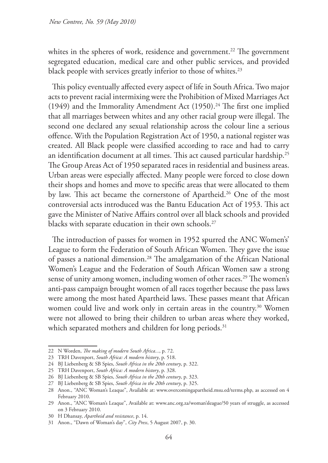whites in the spheres of work, residence and government.<sup>22</sup> The government segregated education, medical care and other public services, and provided black people with services greatly inferior to those of whites.<sup>23</sup>

This policy eventually affected every aspect of life in South Africa. Two major acts to prevent racial intermixing were the Prohibition of Mixed Marriages Act (1949) and the Immorality Amendment Act (1950).<sup>24</sup> The first one implied that all marriages between whites and any other racial group were illegal. The second one declared any sexual relationship across the colour line a serious offence. With the Population Registration Act of 1950, a national register was created. All Black people were classified according to race and had to carry an identification document at all times. This act caused particular hardship.25 The Group Areas Act of 1950 separated races in residential and business areas. Urban areas were especially affected. Many people were forced to close down their shops and homes and move to specific areas that were allocated to them by law. This act became the cornerstone of Apartheid.<sup>26</sup> One of the most controversial acts introduced was the Bantu Education Act of 1953. This act gave the Minister of Native Affairs control over all black schools and provided blacks with separate education in their own schools.<sup>27</sup>

The introduction of passes for women in 1952 spurred the ANC Women's' League to form the Federation of South African Women. They gave the issue of passes a national dimension.28 The amalgamation of the African National Women's League and the Federation of South African Women saw a strong sense of unity among women, including women of other races.<sup>29</sup> The women's anti-pass campaign brought women of all races together because the pass laws were among the most hated Apartheid laws. These passes meant that African women could live and work only in certain areas in the country.<sup>30</sup> Women were not allowed to bring their children to urban areas where they worked, which separated mothers and children for long periods.<sup>31</sup>

<sup>22</sup> N Worden, *The making of modern South Africa...*, p. 72.

<sup>23</sup> TRH Davenport, *South Africa: A modern history*, p. 518.

<sup>24</sup> BJ Liebenberg & SB Spies, *South Africa in the 20th century*, p. 322.

<sup>25</sup> TRH Davenport, *South Africa: A modern history*, p. 328.

<sup>26</sup> BJ Liebenberg & SB Spies, *South Africa in the 20th century*, p. 323.

<sup>27</sup> BJ Liebenberg & SB Spies, *South Africa in the 20th century*, p. 325.

<sup>28</sup> Anon., "ANC Woman's Leaque", Available at: www.overcomingapartheid.msu.ed/terms.php, as accessed on 4 February 2010.

<sup>29</sup> Anon., "ANC Woman's Leaque", Available at: www.anc.org.za/woman'sleague/50 years of struggle, as accessed on 3 February 2010.

<sup>30</sup> H Dhansay, *Apartheid and resistance*, p. 14.

<sup>31</sup> Anon., "Dawn of Woman's day", *City Press*, 5 August 2007, p. 30.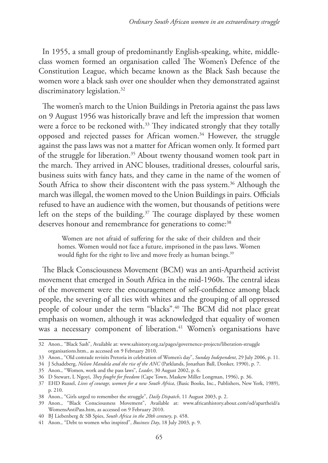In 1955, a small group of predominantly English-speaking, white, middleclass women formed an organisation called The Women's Defence of the Constitution League, which became known as the Black Sash because the women wore a black sash over one shoulder when they demonstrated against discriminatory legislation.<sup>32</sup>

The women's march to the Union Buildings in Pretoria against the pass laws on 9 August 1956 was historically brave and left the impression that women were a force to be reckoned with.<sup>33</sup> They indicated strongly that they totally opposed and rejected passes for African women.<sup>34</sup> However, the struggle against the pass laws was not a matter for African women only. It formed part of the struggle for liberation.<sup>35</sup> About twenty thousand women took part in the march. They arrived in ANC blouses, traditional dresses, colourful saris, business suits with fancy hats, and they came in the name of the women of South Africa to show their discontent with the pass system.<sup>36</sup> Although the march was illegal, the women moved to the Union Buildings in pairs. Officials refused to have an audience with the women, but thousands of petitions were left on the steps of the building.<sup>37</sup> The courage displayed by these women deserves honour and remembrance for generations to come:<sup>38</sup>

Women are not afraid of suffering for the sake of their children and their homes. Women would not face a future, imprisoned in the pass laws. Women would fight for the right to live and move freely as human beings.<sup>39</sup>

The Black Consciousness Movement (BCM) was an anti-Apartheid activist movement that emerged in South Africa in the mid-1960s. The central ideas of the movement were the encouragement of self-confidence among black people, the severing of all ties with whites and the grouping of all oppressed people of colour under the term "blacks".40 The BCM did not place great emphasis on women, although it was acknowledged that equality of women was a necessary component of liberation.<sup>41</sup> Women's organisations have

<sup>32</sup> Anon., "Black Sash", Available at: www.sahistory.org.za/pages/governence-projects/liberation-struggle organisations.htm., as accessed on 9 February 2010.

<sup>33</sup> Anon., "Old comrade revisits Pretoria in celebration of Women's day", *Sunday Independent*, 29 July 2006, p. 11.

<sup>34</sup> J Schadeberg, *Nelson Mandela and the rise of the ANC* (Parklands, Jonathan Ball, Donker, 1990), p. 7.

<sup>35</sup> Anon., "Women, work and the pass laws", *Leader*, 30 August 2002, p. 6.

<sup>36</sup> D Stewart, L Ngoyi, *They fought for freedom* (Cape Town, Maskew Miller Longman, 1996), p. 36.

<sup>37</sup> EHD Russel, *Lives of courage, women for a new South Africa*, (Basic Books, Inc., Publishers, New York, 1989), p. 210.

<sup>38</sup> Anon., "Girls urged to remember the struggle", *Daily Dispatch*, 11 August 2003, p. 2.

<sup>39</sup> Anon., "Black Consciousness Movement", Available at: www.africanhistory.about.com/od/apartheid/a WomensAntiPass.htm, as accessed on 9 February 2010.

<sup>40</sup> BJ Liebenberg & SB Spies, *South Africa in the 20th century*, p. 458.

<sup>41</sup> Anon., "Debt to women who inspired", *Business Day*, 18 July 2003, p. 9.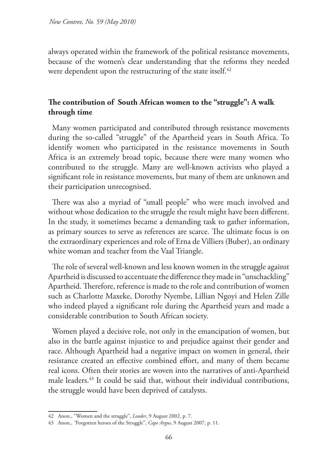always operated within the framework of the political resistance movements, because of the women's clear understanding that the reforms they needed were dependent upon the restructuring of the state itself.<sup>42</sup>

# **The contribution of South African women to the "struggle": A walk through time**

Many women participated and contributed through resistance movements during the so-called "struggle" of the Apartheid years in South Africa. To identify women who participated in the resistance movements in South Africa is an extremely broad topic, because there were many women who contributed to the struggle. Many are well-known activists who played a significant role in resistance movements, but many of them are unknown and their participation unrecognised.

There was also a myriad of "small people" who were much involved and without whose dedication to the struggle the result might have been different. In the study, it sometimes became a demanding task to gather information, as primary sources to serve as references are scarce. The ultimate focus is on the extraordinary experiences and role of Erna de Villiers (Buber), an ordinary white woman and teacher from the Vaal Triangle.

The role of several well-known and less known women in the struggle against Apartheid is discussed to accentuate the difference they made in "unschackling" Apartheid. Therefore, reference is made to the role and contribution of women such as Charlotte Maxeke, Dorothy Nyembe, Lillian Ngoyi and Helen Zille who indeed played a significant role during the Apartheid years and made a considerable contribution to South African society.

Women played a decisive role, not only in the emancipation of women, but also in the battle against injustice to and prejudice against their gender and race. Although Apartheid had a negative impact on women in general, their resistance created an effective combined effort, and many of them became real icons. Often their stories are woven into the narratives of anti-Apartheid male leaders.43 It could be said that, without their individual contributions, the struggle would have been deprived of catalysts.

<sup>42</sup> Anon., "Women and the struggle", *Leader*, 9 August 2002, p. 7.

<sup>43</sup> Anon., *"*Forgotten heroes of the Struggle", *Cape Argus*, 9 August 2007, p. 11.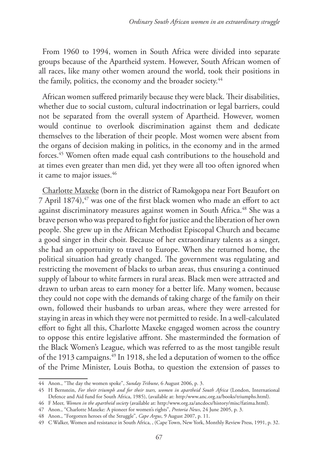From 1960 to 1994, women in South Africa were divided into separate groups because of the Apartheid system. However, South African women of all races, like many other women around the world, took their positions in the family, politics, the economy and the broader society.<sup>44</sup>

African women suffered primarily because they were black. Their disabilities, whether due to social custom, cultural indoctrination or legal barriers, could not be separated from the overall system of Apartheid. However, women would continue to overlook discrimination against them and dedicate themselves to the liberation of their people. Most women were absent from the organs of decision making in politics, in the economy and in the armed forces.45 Women often made equal cash contributions to the household and at times even greater than men did, yet they were all too often ignored when it came to major issues.<sup>46</sup>

Charlotte Maxeke (born in the district of Ramokgopa near Fort Beaufort on 7 April 1874),<sup>47</sup> was one of the first black women who made an effort to act against discriminatory measures against women in South Africa.<sup>48</sup> She was a brave person who was prepared to fight for justice and the liberation of her own people. She grew up in the African Methodist Episcopal Church and became a good singer in their choir. Because of her extraordinary talents as a singer, she had an opportunity to travel to Europe. When she returned home, the political situation had greatly changed. The government was regulating and restricting the movement of blacks to urban areas, thus ensuring a continued supply of labour to white farmers in rural areas. Black men were attracted and drawn to urban areas to earn money for a better life. Many women, because they could not cope with the demands of taking charge of the family on their own, followed their husbands to urban areas, where they were arrested for staying in areas in which they were not permitted to reside. In a well-calculated effort to fight all this, Charlotte Maxeke engaged women across the country to oppose this entire legislative affront. She masterminded the formation of the Black Women's League, which was referred to as the most tangible result of the 1913 campaigns.49 In 1918, she led a deputation of women to the office of the Prime Minister, Louis Botha, to question the extension of passes to

<sup>44</sup> Anon., "The day the women spoke", *Sunday Tribune*, 6 August 2006, p. 3.

<sup>45</sup> H Bernstein, *For their triumph and for their tears, women in apartheid South Africa* (London, International Defence and Aid fund for South Africa, 1985), (available at: http:/www.anc.org.za/books/triumphs.html).

<sup>46</sup> F Meer, *Women in the apartheid society* (available at: http:/www.org.za/ancdocs/history/misc/fatima.html).

<sup>47</sup> Anon., "Charlotte Maxeke: A pioneer for women's rights", *Pretoria News*, 24 June 2005, p. 3.

<sup>48</sup> Anon., "Forgotten heroes of the Struggle", *Cape Argus*, 9 August 2007, p. 11.

<sup>49</sup> C Walker, Women and resistance in South Africa, , (Cape Town, New York, Monthly Review Press, 1991, p. 32.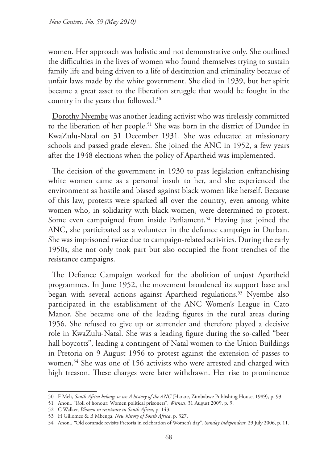women. Her approach was holistic and not demonstrative only. She outlined the difficulties in the lives of women who found themselves trying to sustain family life and being driven to a life of destitution and criminality because of unfair laws made by the white government. She died in 1939, but her spirit became a great asset to the liberation struggle that would be fought in the country in the years that followed.50

Dorothy Nyembe was another leading activist who was tirelessly committed to the liberation of her people.51 She was born in the district of Dundee in KwaZulu-Natal on 31 December 1931. She was educated at missionary schools and passed grade eleven. She joined the ANC in 1952, a few years after the 1948 elections when the policy of Apartheid was implemented.

The decision of the government in 1930 to pass legislation enfranchising white women came as a personal insult to her, and she experienced the environment as hostile and biased against black women like herself. Because of this law, protests were sparked all over the country, even among white women who, in solidarity with black women, were determined to protest. Some even campaigned from inside Parliament.<sup>52</sup> Having just joined the ANC, she participated as a volunteer in the defiance campaign in Durban. She was imprisoned twice due to campaign-related activities. During the early 1950s, she not only took part but also occupied the front trenches of the resistance campaigns.

The Defiance Campaign worked for the abolition of unjust Apartheid programmes. In June 1952, the movement broadened its support base and began with several actions against Apartheid regulations.<sup>53</sup> Nyembe also participated in the establishment of the ANC Women's League in Cato Manor. She became one of the leading figures in the rural areas during 1956. She refused to give up or surrender and therefore played a decisive role in KwaZulu-Natal. She was a leading figure during the so-called "beer hall boycotts", leading a contingent of Natal women to the Union Buildings in Pretoria on 9 August 1956 to protest against the extension of passes to women.<sup>54</sup> She was one of 156 activists who were arrested and charged with high treason. These charges were later withdrawn. Her rise to prominence

<sup>50</sup> F Meli, *South Africa belongs to us: A history of the ANC* (Harare, Zimbabwe Publishing House, 1989), p. 93.

<sup>51</sup> Anon., "Roll of honour: Women political prisoners", *Witness*, 31 August 2009, p. 9.

<sup>52</sup> C Walker, *Women in resistance in South Africa*, p. 143.

<sup>53</sup> H Giliomee & B Mbenga, *New history of South Africa*, p. 327.

<sup>54</sup> Anon., *"*Old comrade revisits Pretoria in celebration of Women's day", *Sunday Independent*, 29 July 2006, p. 11.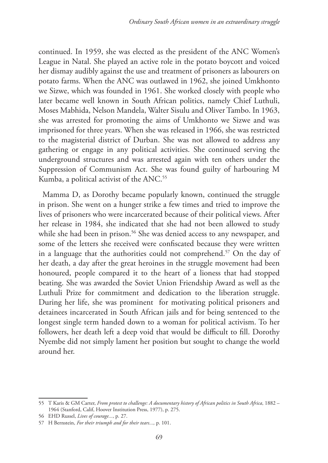continued. In 1959, she was elected as the president of the ANC Women's League in Natal. She played an active role in the potato boycott and voiced her dismay audibly against the use and treatment of prisoners as labourers on potato farms. When the ANC was outlawed in 1962, she joined Umkhonto we Sizwe, which was founded in 1961. She worked closely with people who later became well known in South African politics, namely Chief Luthuli, Moses Mabhida, Nelson Mandela, Walter Sisulu and Oliver Tambo. In 1963, she was arrested for promoting the aims of Umkhonto we Sizwe and was imprisoned for three years. When she was released in 1966, she was restricted to the magisterial district of Durban. She was not allowed to address any gathering or engage in any political activities. She continued serving the underground structures and was arrested again with ten others under the Suppression of Communism Act. She was found guilty of harbouring M Kumba, a political activist of the ANC.<sup>55</sup>

Mamma D, as Dorothy became popularly known, continued the struggle in prison. She went on a hunger strike a few times and tried to improve the lives of prisoners who were incarcerated because of their political views. After her release in 1984, she indicated that she had not been allowed to study while she had been in prison.<sup>56</sup> She was denied access to any newspaper, and some of the letters she received were confiscated because they were written in a language that the authorities could not comprehend.57 On the day of her death, a day after the great heroines in the struggle movement had been honoured, people compared it to the heart of a lioness that had stopped beating. She was awarded the Soviet Union Friendship Award as well as the Luthuli Prize for commitment and dedication to the liberation struggle. During her life, she was prominent for motivating political prisoners and detainees incarcerated in South African jails and for being sentenced to the longest single term handed down to a woman for political activism. To her followers, her death left a deep void that would be difficult to fill. Dorothy Nyembe did not simply lament her position but sought to change the world around her.

<sup>55</sup> T Karis & GM Carter, *From protest to challenge: A documentary history of African politics in South Africa*, 1882 – 1964 (Stanford, Calif, Hoover Institution Press, 1977), p. 275.

<sup>56</sup> EHD Russel, *Lives of courage...*, p. 27.

<sup>57</sup> H Bernstein, *For their triumph and for their tears...,* p. 101.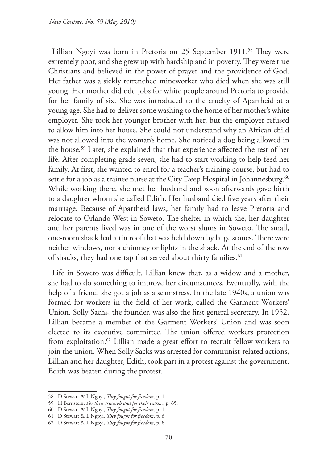Lillian Ngoyi was born in Pretoria on 25 September 1911.<sup>58</sup> They were extremely poor, and she grew up with hardship and in poverty. They were true Christians and believed in the power of prayer and the providence of God. Her father was a sickly retrenched mineworker who died when she was still young. Her mother did odd jobs for white people around Pretoria to provide for her family of six. She was introduced to the cruelty of Apartheid at a young age. She had to deliver some washing to the home of her mother's white employer. She took her younger brother with her, but the employer refused to allow him into her house. She could not understand why an African child was not allowed into the woman's home. She noticed a dog being allowed in the house.59 Later, she explained that that experience affected the rest of her life. After completing grade seven, she had to start working to help feed her family. At first, she wanted to enrol for a teacher's training course, but had to settle for a job as a trainee nurse at the City Deep Hospital in Johannesburg.<sup>60</sup> While working there, she met her husband and soon afterwards gave birth to a daughter whom she called Edith. Her husband died five years after their marriage. Because of Apartheid laws, her family had to leave Pretoria and relocate to Orlando West in Soweto. The shelter in which she, her daughter and her parents lived was in one of the worst slums in Soweto. The small, one-room shack had a tin roof that was held down by large stones. There were neither windows, nor a chimney or lights in the shack. At the end of the row of shacks, they had one tap that served about thirty families.<sup>61</sup>

Life in Soweto was difficult. Lillian knew that, as a widow and a mother, she had to do something to improve her circumstances. Eventually, with the help of a friend, she got a job as a seamstress. In the late 1940s, a union was formed for workers in the field of her work, called the Garment Workers' Union. Solly Sachs, the founder, was also the first general secretary. In 1952, Lillian became a member of the Garment Workers' Union and was soon elected to its executive committee. The union offered workers protection from exploitation.<sup>62</sup> Lillian made a great effort to recruit fellow workers to join the union. When Solly Sacks was arrested for communist-related actions, Lillian and her daughter, Edith, took part in a protest against the government. Edith was beaten during the protest.

<sup>58</sup> D Stewart & L Ngoyi, *They fought for freedom*, p. 1.

<sup>59</sup> H Bernstein, *For their triumph and for their tears...*, p. 65.

<sup>60</sup> D Stewart & L Ngoyi, *They fought for freedom*, p. 1.

<sup>61</sup> D Stewart & L Ngoyi, *They fought for freedom*, p. 6.

<sup>62</sup> D Stewart & L Ngoyi, *They fought for freedom*, p. 8.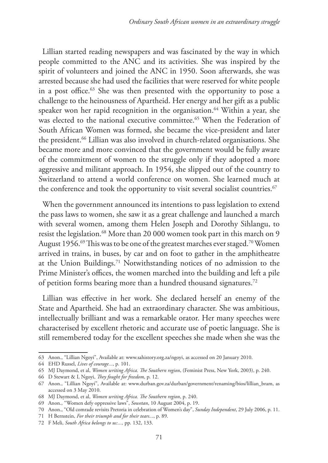Lillian started reading newspapers and was fascinated by the way in which people committed to the ANC and its activities. She was inspired by the spirit of volunteers and joined the ANC in 1950. Soon afterwards, she was arrested because she had used the facilities that were reserved for white people in a post office.63 She was then presented with the opportunity to pose a challenge to the heinousness of Apartheid. Her energy and her gift as a public speaker won her rapid recognition in the organisation.<sup>64</sup> Within a year, she was elected to the national executive committee.<sup>65</sup> When the Federation of South African Women was formed, she became the vice-president and later the president.<sup>66</sup> Lillian was also involved in church-related organisations. She became more and more convinced that the government would be fully aware of the commitment of women to the struggle only if they adopted a more aggressive and militant approach. In 1954, she slipped out of the country to Switzerland to attend a world conference on women. She learned much at the conference and took the opportunity to visit several socialist countries.<sup>67</sup>

When the government announced its intentions to pass legislation to extend the pass laws to women, she saw it as a great challenge and launched a march with several women, among them Helen Joseph and Dorothy Sihlangu, to resist the legislation.<sup>68</sup> More than 20 000 women took part in this march on 9 August 1956.<sup>69</sup> This was to be one of the greatest marches ever staged.<sup>70</sup> Women arrived in trains, in buses, by car and on foot to gather in the amphitheatre at the Union Buildings.71 Notwithstanding notices of no admission to the Prime Minister's offices, the women marched into the building and left a pile of petition forms bearing more than a hundred thousand signatures.72

Lillian was effective in her work. She declared herself an enemy of the State and Apartheid. She had an extraordinary character. She was ambitious, intellectually brilliant and was a remarkable orator. Her many speeches were characterised by excellent rhetoric and accurate use of poetic language. She is still remembered today for the excellent speeches she made when she was the

<sup>63</sup> Anon., "Lillian Ngoyi", Available at: www.sahistory.org.za/ngoyi, as accessed on 20 January 2010.

<sup>64</sup> EHD Russel, *Lives of courage...*, p. 101.

<sup>65</sup> MJ Daymond, et al, *Women writing Africa. The Southern region*, (Feminist Press, New York, 2003), p. 240.

<sup>66</sup> D Stewart & L Ngoyi, *They fought for freedom*, p. 12.

<sup>67</sup> Anon., "Lillian Ngoyi", Available at: www.durban.gov.za/durban/government/renaming/bios/lillian\_bram, as accessed on 3 May 2010.

<sup>68</sup> MJ Daymond, et al, *Women writing Africa. The Southern region*, p. 240.

<sup>69</sup> Anon., "Women defy oppressive laws", *Sowetan*, 10 August 2004, p. 19.

<sup>70</sup> Anon., "Old comrade revisits Pretoria in celebration of Women's day", *Sunday Independent*, 29 July 2006, p. 11.

<sup>71</sup> H Bernstein, *For their triumph and for their tears..*., p. 89.

<sup>72</sup> F Meli, *South Africa belongs to us:...,* pp. 132, 133.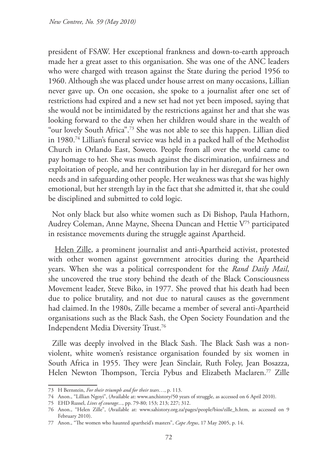president of FSAW. Her exceptional frankness and down-to-earth approach made her a great asset to this organisation. She was one of the ANC leaders who were charged with treason against the State during the period 1956 to 1960. Although she was placed under house arrest on many occasions, Lillian never gave up. On one occasion, she spoke to a journalist after one set of restrictions had expired and a new set had not yet been imposed, saying that she would not be intimidated by the restrictions against her and that she was looking forward to the day when her children would share in the wealth of "our lovely South Africa".73 She was not able to see this happen. Lillian died in 1980.74 Lillian's funeral service was held in a packed hall of the Methodist Church in Orlando East, Soweto. People from all over the world came to pay homage to her. She was much against the discrimination, unfairness and exploitation of people, and her contribution lay in her disregard for her own needs and in safeguarding other people. Her weakness was that she was highly emotional, but her strength lay in the fact that she admitted it, that she could be disciplined and submitted to cold logic.

Not only black but also white women such as Di Bishop, Paula Hathorn, Audrey Coleman, Anne Mayne, Sheena Duncan and Hettie V75 participated in resistance movements during the struggle against Apartheid.

Helen Zille, a prominent journalist and anti-Apartheid activist, protested with other women against government atrocities during the Apartheid years. When she was a political correspondent for the *Rand Daily Mail*, she uncovered the true story behind the death of the Black Consciousness Movement leader, Steve Biko, in 1977. She proved that his death had been due to police brutality, and not due to natural causes as the government had claimed.In the 1980s, Zille became a member of several anti-Apartheid organisations such as the Black Sash, the Open Society Foundation and the Independent Media Diversity Trust.76

Zille was deeply involved in the Black Sash. The Black Sash was a nonviolent, white women's resistance organisation founded by six women in South Africa in 1955. They were Jean Sinclair, Ruth Foley, Jean Bosazza, Helen Newton Thompson, Tercia Pybus and Elizabeth Maclaren.<sup>77</sup> Zille

<sup>73</sup> H Bernstein, *For their triumph and for their tears…*, p. 113.

<sup>74</sup> Anon., "Lillian Ngoyi", (Available at: www.anchistory/50 years of struggle, as accessed on 6 April 2010).

<sup>75</sup> EHD Russel, *Lives of courage...*, pp. 79-80; 153; 213; 227; 312.

<sup>76</sup> Anon., "Helen Zille", (Available at: www.sahistory.org.za/pages/people/bios/zille\_h.htm, as accessed on 9 February 2010).

<sup>77</sup> Anon., "The women who haunted apartheid's masters", *Cape Argus*, 17 May 2005, p. 14.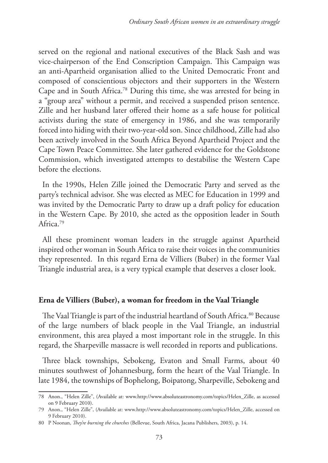served on the regional and national executives of the Black Sash and was vice-chairperson of the End Conscription Campaign. This Campaign was an anti-Apartheid organisation allied to the United Democratic Front and composed of conscientious objectors and their supporters in the Western Cape and in South Africa.78 During this time, she was arrested for being in a "group area" without a permit, and received a suspended prison sentence. Zille and her husband later offered their home as a safe house for political activists during the state of emergency in 1986, and she was temporarily forced into hiding with their two-year-old son. Since childhood, Zille had also been actively involved in the South Africa Beyond Apartheid Project and the Cape Town Peace Committee. She later gathered evidence for the Goldstone Commission, which investigated attempts to destabilise the Western Cape before the elections.

In the 1990s, Helen Zille joined the Democratic Party and served as the party's technical advisor. She was elected as MEC for Education in 1999 and was invited by the Democratic Party to draw up a draft policy for education in the Western Cape. By 2010, she acted as the opposition leader in South Africa.79

All these prominent woman leaders in the struggle against Apartheid inspired other woman in South Africa to raise their voices in the communities they represented. In this regard Erna de Villiers (Buber) in the former Vaal Triangle industrial area, is a very typical example that deserves a closer look.

## **Erna de Villiers (Buber), a woman for freedom in the Vaal Triangle**

The Vaal Triangle is part of the industrial heartland of South Africa.<sup>80</sup> Because of the large numbers of black people in the Vaal Triangle, an industrial environment, this area played a most important role in the struggle. In this regard, the Sharpeville massacre is well recorded in reports and publications.

Three black townships, Sebokeng, Evaton and Small Farms, about 40 minutes southwest of Johannesburg, form the heart of the Vaal Triangle. In late 1984, the townships of Bophelong, Boipatong, Sharpeville, Sebokeng and

<sup>78</sup> Anon., "Helen Zille", (Available at: www.http://www.absoluteastronomy.com/topics/Helen\_Zille, as accessed on 9 February 2010).

<sup>79</sup> Anon., "Helen Zille", (Available at: www.http://www.absoluteastronomy.com/topics/Helen\_Zille, accessed on 9 February 2010).

<sup>80</sup> P Noonan, *They're burning the churches* (Bellevue, South Africa, Jacana Publishers, 2003), p. 14.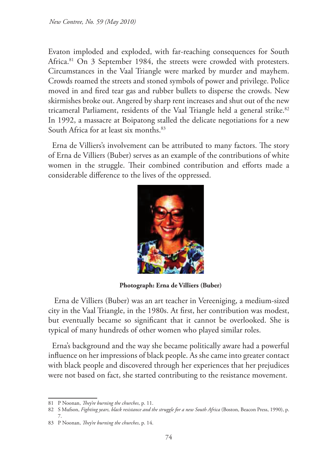Evaton imploded and exploded, with far-reaching consequences for South Africa.<sup>81</sup> On 3 September 1984, the streets were crowded with protesters. Circumstances in the Vaal Triangle were marked by murder and mayhem. Crowds roamed the streets and stoned symbols of power and privilege. Police moved in and fired tear gas and rubber bullets to disperse the crowds. New skirmishes broke out. Angered by sharp rent increases and shut out of the new tricameral Parliament, residents of the Vaal Triangle held a general strike.<sup>82</sup> In 1992, a massacre at Boipatong stalled the delicate negotiations for a new South Africa for at least six months.<sup>83</sup>

Erna de Villiers's involvement can be attributed to many factors. The story of Erna de Villiers (Buber) serves as an example of the contributions of white women in the struggle. Their combined contribution and efforts made a considerable difference to the lives of the oppressed.



**Photograph: Erna de Villiers (Buber)** 

 Erna de Villiers (Buber) was an art teacher in Vereeniging, a medium-sized city in the Vaal Triangle, in the 1980s. At first, her contribution was modest, but eventually became so significant that it cannot be overlooked. She is typical of many hundreds of other women who played similar roles.

Erna's background and the way she became politically aware had a powerful influence on her impressions of black people. As she came into greater contact with black people and discovered through her experiences that her prejudices were not based on fact, she started contributing to the resistance movement.

<sup>81</sup> P Noonan, *They're burning the churches*, p. 11.

<sup>82</sup> S Mufson, *Fighting years, black resistance and the struggle for a new South Africa* (Boston, Beacon Press, 1990), p. 7.

<sup>83</sup> P Noonan, *They're burning the churches*, p. 14.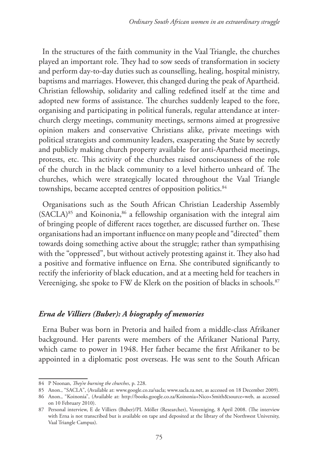In the structures of the faith community in the Vaal Triangle, the churches played an important role. They had to sow seeds of transformation in society and perform day-to-day duties such as counselling, healing, hospital ministry, baptisms and marriages. However, this changed during the peak of Apartheid. Christian fellowship, solidarity and calling redefined itself at the time and adopted new forms of assistance. The churches suddenly leaped to the fore, organising and participating in political funerals, regular attendance at interchurch clergy meetings, community meetings, sermons aimed at progressive opinion makers and conservative Christians alike, private meetings with political strategists and community leaders, exasperating the State by secretly and publicly making church property available for anti-Apartheid meetings, protests, etc. This activity of the churches raised consciousness of the role of the church in the black community to a level hitherto unheard of. The churches, which were strategically located throughout the Vaal Triangle townships, became accepted centres of opposition politics.<sup>84</sup>

Organisations such as the South African Christian Leadership Assembly  $(SACLA)^{85}$  and Koinonia,  $86$  a fellowship organisation with the integral aim of bringing people of different races together, are discussed further on. These organisations had an important influence on many people and "directed" them towards doing something active about the struggle; rather than sympathising with the "oppressed", but without actively protesting against it. They also had a positive and formative influence on Erna. She contributed significantly to rectify the inferiority of black education, and at a meeting held for teachers in Vereeniging, she spoke to FW de Klerk on the position of blacks in schools.<sup>87</sup>

# *Erna de Villiers (Buber): A biography of memories*

Erna Buber was born in Pretoria and hailed from a middle-class Afrikaner background. Her parents were members of the Afrikaner National Party, which came to power in 1948. Her father became the first Afrikaner to be appointed in a diplomatic post overseas. He was sent to the South African

<sup>84</sup> P Noonan, *They're burning the churches*, p. 228.

<sup>85</sup> Anon., "SACLA", (Available at: www.google.co.za/sacla; www.sacla.za.net, as accessed on 18 December 2009).

<sup>86</sup> Anon., "Koinonia", (Available at: http://books.google.co.za/Koinonia+Nico+Smith&source=web, as accessed on 10 February 2010).

<sup>87</sup> Personal interview, E de Villiers (Buber)/PL Möller (Researcher), Vereeniging, 8 April 2008. (The interview with Erna is not transcribed but is available on tape and deposited at the library of the Northwest University, Vaal Triangle Campus).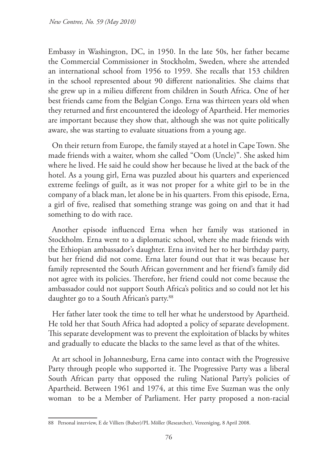Embassy in Washington, DC, in 1950. In the late 50s, her father became the Commercial Commissioner in Stockholm, Sweden, where she attended an international school from 1956 to 1959. She recalls that 153 children in the school represented about 90 different nationalities. She claims that she grew up in a milieu different from children in South Africa. One of her best friends came from the Belgian Congo. Erna was thirteen years old when they returned and first encountered the ideology of Apartheid. Her memories are important because they show that, although she was not quite politically aware, she was starting to evaluate situations from a young age.

On their return from Europe, the family stayed at a hotel in Cape Town. She made friends with a waiter, whom she called "Oom (Uncle)". She asked him where he lived. He said he could show her because he lived at the back of the hotel. As a young girl, Erna was puzzled about his quarters and experienced extreme feelings of guilt, as it was not proper for a white girl to be in the company of a black man, let alone be in his quarters. From this episode, Erna, a girl of five, realised that something strange was going on and that it had something to do with race.

Another episode influenced Erna when her family was stationed in Stockholm. Erna went to a diplomatic school, where she made friends with the Ethiopian ambassador's daughter. Erna invited her to her birthday party, but her friend did not come. Erna later found out that it was because her family represented the South African government and her friend's family did not agree with its policies. Therefore, her friend could not come because the ambassador could not support South Africa's politics and so could not let his daughter go to a South African's party.<sup>88</sup>

Her father later took the time to tell her what he understood by Apartheid. He told her that South Africa had adopted a policy of separate development. This separate development was to prevent the exploitation of blacks by whites and gradually to educate the blacks to the same level as that of the whites.

At art school in Johannesburg, Erna came into contact with the Progressive Party through people who supported it. The Progressive Party was a liberal South African party that opposed the ruling National Party's policies of Apartheid. Between 1961 and 1974, at this time Eve Suzman was the only woman to be a Member of Parliament. Her party proposed a non-racial

<sup>88</sup> Personal interview, E de Villiers (Buber)/PL Möller (Researcher), Vereeniging, 8 April 2008.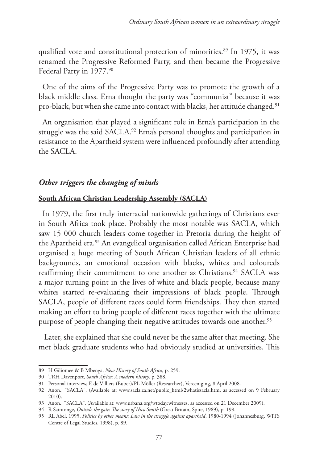qualified vote and constitutional protection of minorities.<sup>89</sup> In 1975, it was renamed the Progressive Reformed Party, and then became the Progressive Federal Party in 1977.<sup>90</sup>

One of the aims of the Progressive Party was to promote the growth of a black middle class. Erna thought the party was "communist" because it was pro-black, but when she came into contact with blacks, her attitude changed.<sup>91</sup>

An organisation that played a significant role in Erna's participation in the struggle was the said SACLA.<sup>92</sup> Erna's personal thoughts and participation in resistance to the Apartheid system were influenced profoundly after attending the SACLA.

# *Other triggers the changing of minds*

## **South African Christian Leadership Assembly (SACLA)**

In 1979, the first truly interracial nationwide gatherings of Christians ever in South Africa took place. Probably the most notable was SACLA, which saw 15 000 church leaders come together in Pretoria during the height of the Apartheid era.<sup>93</sup> An evangelical organisation called African Enterprise had organised a huge meeting of South African Christian leaders of all ethnic backgrounds, an emotional occasion with blacks, whites and coloureds reaffirming their commitment to one another as Christians.<sup>94</sup> SACLA was a major turning point in the lives of white and black people, because many whites started re-evaluating their impressions of black people. Through SACLA, people of different races could form friendships. They then started making an effort to bring people of different races together with the ultimate purpose of people changing their negative attitudes towards one another.<sup>95</sup>

 Later, she explained that she could never be the same after that meeting. She met black graduate students who had obviously studied at universities. This

<sup>89</sup> H Giliomee & B Mbenga, *New History of South Africa*, p. 259.

<sup>90</sup> TRH Davenport, *South Africa: A modern history*, p. 388.

<sup>91</sup> Personal interview, E de Villiers (Buber)/PL Möller (Researcher), Vereeniging, 8 April 2008.

<sup>92</sup> Anon., "SACLA", (Available at: www.sacla.za.net/public\_html/2whatissacla.htm, as accessed on 9 February 2010).

<sup>93</sup> Anon., "SACLA", (Available at: www.urbana.org/wtoday.witnesses, as accessed on 21 December 2009).

<sup>94</sup> R Saintonge, *Outside the gate: The story of Nico Smith* (Great Britain, Spire, 1989), p. 198.

<sup>95</sup> RL Abel, 1995, *Politics by other means: Law in the struggle against apartheid*, 1980-1994 (Johannesburg, WITS Centre of Legal Studies, 1998), p. 89.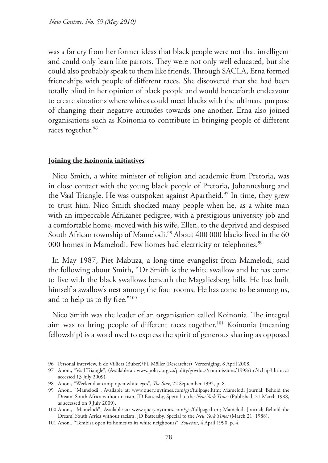was a far cry from her former ideas that black people were not that intelligent and could only learn like parrots. They were not only well educated, but she could also probably speak to them like friends. Through SACLA, Erna formed friendships with people of different races. She discovered that she had been totally blind in her opinion of black people and would henceforth endeavour to create situations where whites could meet blacks with the ultimate purpose of changing their negative attitudes towards one another. Erna also joined organisations such as Koinonia to contribute in bringing people of different races together.<sup>96</sup>

#### **Joining the Koinonia initiatives**

Nico Smith, a white minister of religion and academic from Pretoria, was in close contact with the young black people of Pretoria, Johannesburg and the Vaal Triangle. He was outspoken against Apartheid.<sup>97</sup> In time, they grew to trust him. Nico Smith shocked many people when he, as a white man with an impeccable Afrikaner pedigree, with a prestigious university job and a comfortable home, moved with his wife, Ellen, to the deprived and despised South African township of Mamelodi.<sup>98</sup> About 400 000 blacks lived in the 60 000 homes in Mamelodi. Few homes had electricity or telephones.<sup>99</sup>

In May 1987, Piet Mabuza, a long-time evangelist from Mamelodi, said the following about Smith, "Dr Smith is the white swallow and he has come to live with the black swallows beneath the Magaliesberg hills. He has built himself a swallow's nest among the four rooms. He has come to be among us, and to help us to fly free."100

Nico Smith was the leader of an organisation called Koinonia. The integral aim was to bring people of different races together.<sup>101</sup> Koinonia (meaning fellowship) is a word used to express the spirit of generous sharing as opposed

<sup>96</sup> Personal interview, E de Villiers (Buber)/PL Möller (Researcher), Vereeniging, 8 April 2008.

<sup>97</sup> Anon., "Vaal Triangle", (Available at: www.polity.org.za/polity/govdocs/commissions/1998/trc/4chap3.htm, as accessed 13 July 2009).

<sup>98</sup> Anon., "Weekend at camp open white eyes", *The Star*, 22 September 1992, p. 8.

<sup>99</sup> Anon., "Mamelodi", Available at: www.query.nytimes.com/gst/fullpage.htm; Mamelodi Journal; Behold the Dream! South Africa without racism, JD Battersby, Special to the *New York Times* (Published, 21 March 1988, as accessed on 9 July 2009).

<sup>100</sup> Anon., "Mamelodi", Available at: www.query.nytimes.com/gst/fullpage.htm; Mamelodi Journal; Behold the Dream! South Africa without racism, JD Battersby, Special to the *New York Times* (March 21, 1988).

<sup>101</sup> Anon., **"**Tembisa open its homes to its white neighbours", *Sowetan*, 4 April 1990, p. 4.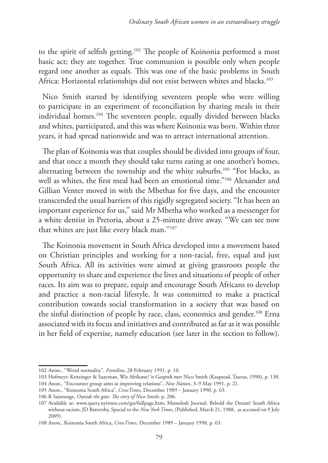to the spirit of selfish getting.102 The people of Koinonia performed a most basic act; they ate together. True communion is possible only when people regard one another as equals. This was one of the basic problems in South Africa: Horizontal relationships did not exist between whites and blacks.<sup>103</sup>

Nico Smith started by identifying seventeen people who were willing to participate in an experiment of reconciliation by sharing meals in their individual homes.104 The seventeen people, equally divided between blacks and whites, participated, and this was where Koinonia was born. Within three years, it had spread nationwide and was to attract international attention.

The plan of Koinonia was that couples should be divided into groups of four, and that once a month they should take turns eating at one another's homes, alternating between the township and the white suburbs.105 "For blacks, as well as whites, the first meal had been an emotional time."106 Alexander and Gillian Venter moved in with the Mbethas for five days, and the encounter transcended the usual barriers of this rigidly segregated society. "It has been an important experience for us,'' said Mr Mbetha who worked as a messenger for a white dentist in Pretoria, about a 25-minute drive away. "We can see now that whites are just like every black man.''107

The Koinonia movement in South Africa developed into a movement based on Christian principles and working for a non-racial, free, equal and just South Africa. All its activities were aimed at giving grassroots people the opportunity to share and experience the lives and situations of people of other races. Its aim was to prepare, equip and encourage South Africans to develop and practice a non-racial lifestyle. It was committed to make a practical contribution towards social transformation in a society that was based on the sinful distinction of people by race, class, economics and gender.<sup>108</sup> Erna associated with its focus and initiatives and contributed as far as it was possible in her field of expertise, namely education (see later in the section to follow).

<sup>102</sup> Anon., "Weird normality", *Frontline*, 28 February 1991, p. 10.

<sup>103</sup> Hofmeyr; Kritzinger & Saayman, Wit Afrikane? 'n Gesprek met Nico Smith (Kaapstad, Taurus, 1990), p. 138. 104 Anon., "Encounter group aims at improving relations", *New Nation*, 3–9 May 1991, p. 21.

<sup>105</sup> Anon., "Koinonia South Africa", *CrossTimes*, December 1989 – January 1990, p. 63.

<sup>106</sup> R Saintonge, *Outside the gate: The story of Nico Smith*, p. 206.

<sup>107</sup> Available at: www.query.nytimes.com/gst/fullpage.htm; Mamelodi Journal; Behold the Dream! South Africa without racism, JD Battersby, Special to the *New York Times*, (Published, March 21, 1988, as accessed on 9 July 2009).

<sup>108</sup> Anon., Koinonia South Africa, *CrossTimes*, December 1989 – January 1990, p. 63.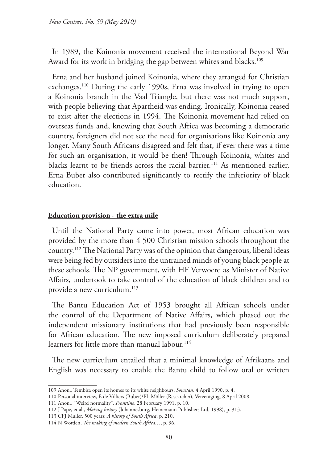In 1989, the Koinonia movement received the international Beyond War Award for its work in bridging the gap between whites and blacks.<sup>109</sup>

Erna and her husband joined Koinonia, where they arranged for Christian exchanges.110 During the early 1990s, Erna was involved in trying to open a Koinonia branch in the Vaal Triangle, but there was not much support, with people believing that Apartheid was ending. Ironically, Koinonia ceased to exist after the elections in 1994. The Koinonia movement had relied on overseas funds and, knowing that South Africa was becoming a democratic country, foreigners did not see the need for organisations like Koinonia any longer. Many South Africans disagreed and felt that, if ever there was a time for such an organisation, it would be then! Through Koinonia, whites and blacks learnt to be friends across the racial barrier.<sup>111</sup> As mentioned earlier, Erna Buber also contributed significantly to rectify the inferiority of black education.

#### **Education provision - the extra mile**

Until the National Party came into power, most African education was provided by the more than 4 500 Christian mission schools throughout the country.112 The National Party was of the opinion that dangerous, liberal ideas were being fed by outsiders into the untrained minds of young black people at these schools. The NP government, with HF Verwoerd as Minister of Native Affairs, undertook to take control of the education of black children and to provide a new curriculum.<sup>113</sup>

The Bantu Education Act of 1953 brought all African schools under the control of the Department of Native Affairs, which phased out the independent missionary institutions that had previously been responsible for African education. The new imposed curriculum deliberately prepared learners for little more than manual labour.114

The new curriculum entailed that a minimal knowledge of Afrikaans and English was necessary to enable the Bantu child to follow oral or written

<sup>109</sup> Anon., Tembisa open its homes to its white neighbours, *Sowetan*, 4 April 1990, p. 4.

<sup>110</sup> Personal interview, E de Villiers (Buber)/PL Möller (Researcher), Vereeniging, 8 April 2008.

<sup>111</sup> Anon., "Weird normality", *Frontline*, 28 February 1991, p. 10.

<sup>112</sup> J Pape, et al., *Making history* (Johannesburg, Heinemann Publishers Ltd, 1998), p. 313.

<sup>113</sup> CFJ Muller, 500 years: *A history of South Africa*, p. 210.

<sup>114</sup> N Worden, *The making of modern South Africa…*, p. 96.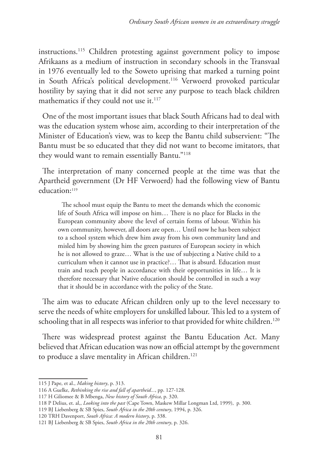instructions.115 Children protesting against government policy to impose Afrikaans as a medium of instruction in secondary schools in the Transvaal in 1976 eventually led to the Soweto uprising that marked a turning point in South Africa's political development.<sup>116</sup> Verwoerd provoked particular hostility by saying that it did not serve any purpose to teach black children mathematics if they could not use it.<sup>117</sup>

One of the most important issues that black South Africans had to deal with was the education system whose aim, according to their interpretation of the Minister of Education's view, was to keep the Bantu child subservient: "The Bantu must be so educated that they did not want to become imitators, that they would want to remain essentially Bantu."<sup>118</sup>

The interpretation of many concerned people at the time was that the Apartheid government (Dr HF Verwoerd) had the following view of Bantu education:<sup>119</sup>

The school must equip the Bantu to meet the demands which the economic life of South Africa will impose on him… There is no place for Blacks in the European community above the level of certain forms of labour. Within his own community, however, all doors are open… Until now he has been subject to a school system which drew him away from his own community land and misled him by showing him the green pastures of European society in which he is not allowed to graze… What is the use of subjecting a Native child to a curriculum when it cannot use in practice?… That is absurd. Education must train and teach people in accordance with their opportunities in life… It is therefore necessary that Native education should be controlled in such a way that it should be in accordance with the policy of the State.

The aim was to educate African children only up to the level necessary to serve the needs of white employers for unskilled labour. This led to a system of schooling that in all respects was inferior to that provided for white children.<sup>120</sup>

There was widespread protest against the Bantu Education Act. Many believed that African education was now an official attempt by the government to produce a slave mentality in African children.<sup>121</sup>

<sup>115</sup> J Pape, et al., *Making history*, p. 313.

<sup>116</sup> A Guelke, *Rethinking the rise and fall of apartheid...*, pp. 127-128.

<sup>117</sup> H Giliomee & B Mbenga, *New history of South Africa*, p. 320.

<sup>118</sup> P Delius, et. al,, *Looking into the past* (Cape Town, Maskew Millar Longman Ltd, 1999), p. 300.

<sup>119</sup> BJ Liebenberg & SB Spies, *South Africa in the 20th century*, 1994, p. 326.

<sup>120</sup> TRH Davenport, *South Africa: A modern history*, p. 338.

<sup>121</sup> BJ Liebenberg & SB Spies, *South Africa in the 20th century*, p. 326.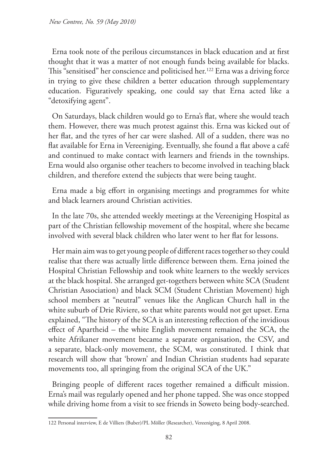Erna took note of the perilous circumstances in black education and at first thought that it was a matter of not enough funds being available for blacks. This "sensitised" her conscience and politicised her.<sup>122</sup> Erna was a driving force in trying to give these children a better education through supplementary education. Figuratively speaking, one could say that Erna acted like a "detoxifying agent".

On Saturdays, black children would go to Erna's flat, where she would teach them. However, there was much protest against this. Erna was kicked out of her flat, and the tyres of her car were slashed. All of a sudden, there was no flat available for Erna in Vereeniging. Eventually, she found a flat above a café and continued to make contact with learners and friends in the townships. Erna would also organise other teachers to become involved in teaching black children, and therefore extend the subjects that were being taught.

Erna made a big effort in organising meetings and programmes for white and black learners around Christian activities.

In the late 70s, she attended weekly meetings at the Vereeniging Hospital as part of the Christian fellowship movement of the hospital, where she became involved with several black children who later went to her flat for lessons.

Her main aim was to get young people of different races together so they could realise that there was actually little difference between them. Erna joined the Hospital Christian Fellowship and took white learners to the weekly services at the black hospital. She arranged get-togethers between white SCA (Student Christian Association) and black SCM (Student Christian Movement) high school members at "neutral" venues like the Anglican Church hall in the white suburb of Drie Riviere, so that white parents would not get upset. Erna explained, "The history of the SCA is an interesting reflection of the invidious effect of Apartheid – the white English movement remained the SCA, the white Afrikaner movement became a separate organisation, the CSV, and a separate, black-only movement, the SCM, was constituted. I think that research will show that 'brown' and Indian Christian students had separate movements too, all springing from the original SCA of the UK."

Bringing people of different races together remained a difficult mission. Erna's mail was regularly opened and her phone tapped. She was once stopped while driving home from a visit to see friends in Soweto being body-searched.

<sup>122</sup> Personal interview, E de Villiers (Buber)/PL Möller (Researcher), Vereeniging, 8 April 2008.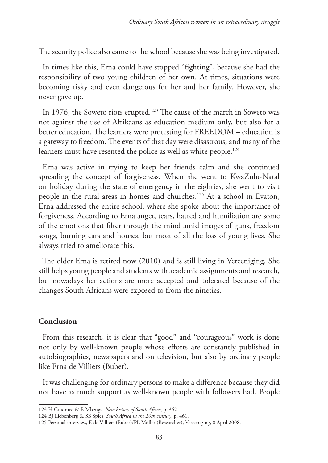The security police also came to the school because she was being investigated.

In times like this, Erna could have stopped "fighting", because she had the responsibility of two young children of her own. At times, situations were becoming risky and even dangerous for her and her family. However, she never gave up.

In 1976, the Soweto riots erupted.<sup>123</sup> The cause of the march in Soweto was not against the use of Afrikaans as education medium only, but also for a better education. The learners were protesting for FREEDOM – education is a gateway to freedom. The events of that day were disastrous, and many of the learners must have resented the police as well as white people.<sup>124</sup>

Erna was active in trying to keep her friends calm and she continued spreading the concept of forgiveness. When she went to KwaZulu-Natal on holiday during the state of emergency in the eighties, she went to visit people in the rural areas in homes and churches.125 At a school in Evaton, Erna addressed the entire school, where she spoke about the importance of forgiveness. According to Erna anger, tears, hatred and humiliation are some of the emotions that filter through the mind amid images of guns, freedom songs, burning cars and houses, but most of all the loss of young lives. She always tried to ameliorate this.

The older Erna is retired now (2010) and is still living in Vereeniging. She still helps young people and students with academic assignments and research, but nowadays her actions are more accepted and tolerated because of the changes South Africans were exposed to from the nineties.

## **Conclusion**

From this research, it is clear that "good" and "courageous" work is done not only by well-known people whose efforts are constantly published in autobiographies, newspapers and on television, but also by ordinary people like Erna de Villiers (Buber).

It was challenging for ordinary persons to make a difference because they did not have as much support as well-known people with followers had. People

<sup>123</sup> H Giliomee & B Mbenga, *New history of South Africa*, p. 362.

<sup>124</sup> BJ Liebenberg & SB Spies, *South Africa in the 20th century*, p. 461.

<sup>125</sup> Personal interview, E de Villiers (Buber)/PL Möller (Researcher), Vereeniging, 8 April 2008.